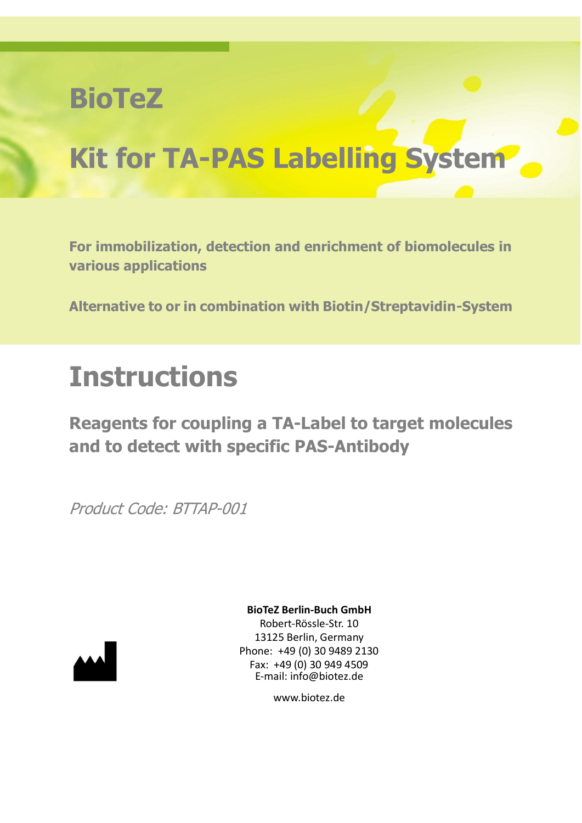# **BioTeZ**

# **Kit for TA-PAS Labelling System**

**For immobilization, detection and enrichment of biomolecules in various applications** 

**Alternative to or in combination with Biotin/Streptavidin-System**

# **Instructions**

**Reagents for coupling a TA-Label to target molecules and to detect with specific PAS-Antibody**

Product Code: BTTAP-001



**BioTeZ Berlin-Buch GmbH**

Robert-Rössle-Str. 10 13125 Berlin, Germany Phone: +49 (0) 30 9489 2130 Fax: +49 (0) 30 949 4509 E-mail: info@biotez.de

www.biotez.de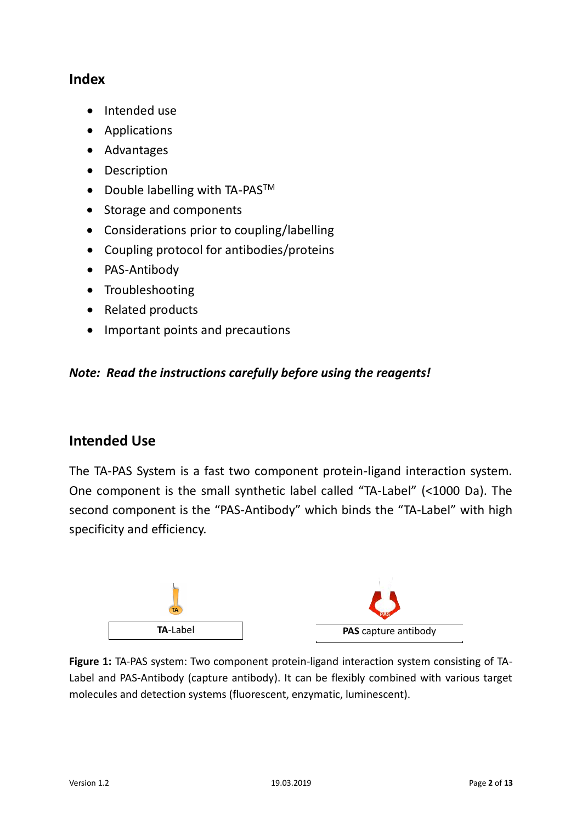# **Index**

- Intended use
- Applications
- Advantages
- Description
- Double labelling with TA-PAS<sup>TM</sup>
- Storage and components
- Considerations prior to coupling/labelling
- Coupling protocol for antibodies/proteins
- PAS-Antibody
- Troubleshooting
- Related products
- Important points and precautions

#### *Note: Read the instructions carefully before using the reagents!*

# **Intended Use**

The TA-PAS System is a fast two component protein-ligand interaction system. One component is the small synthetic label called "TA-Label" (<1000 Da). The second component is the "PAS-Antibody" which binds the "TA-Label" with high specificity and efficiency.



**Figure 1:** TA-PAS system: Two component protein-ligand interaction system consisting of TA-Label and PAS-Antibody (capture antibody). It can be flexibly combined with various target molecules and detection systems (fluorescent, enzymatic, luminescent).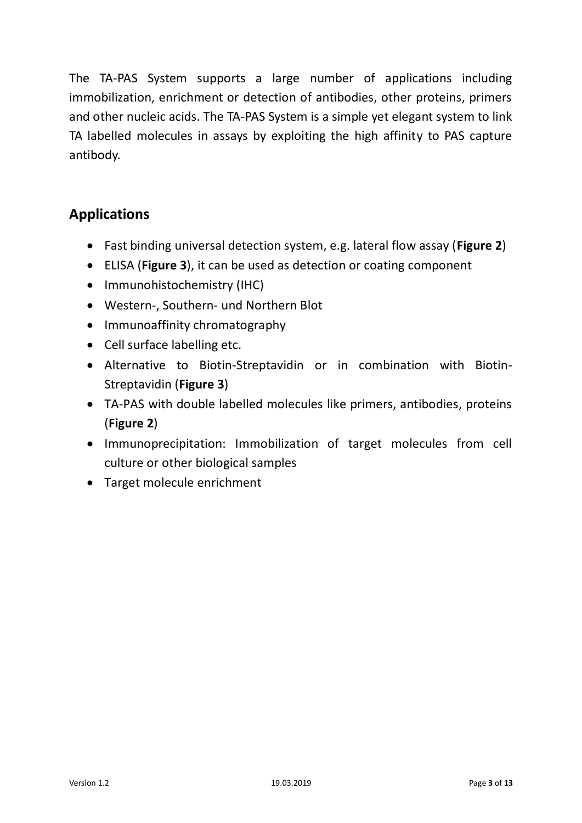The TA-PAS System supports a large number of applications including immobilization, enrichment or detection of antibodies, other proteins, primers and other nucleic acids. The TA-PAS System is a simple yet elegant system to link TA labelled molecules in assays by exploiting the high affinity to PAS capture antibody.

# **Applications**

- Fast binding universal detection system, e.g. lateral flow assay (**Figure 2**)
- ELISA (**Figure 3**), it can be used as detection or coating component
- Immunohistochemistry (IHC)
- Western-, Southern- und Northern Blot
- Immunoaffinity chromatography
- Cell surface labelling etc.
- Alternative to Biotin-Streptavidin or in combination with Biotin-Streptavidin (**Figure 3**)
- TA-PAS with double labelled molecules like primers, antibodies, proteins (**Figure 2**)
- Immunoprecipitation: Immobilization of target molecules from cell culture or other biological samples
- Target molecule enrichment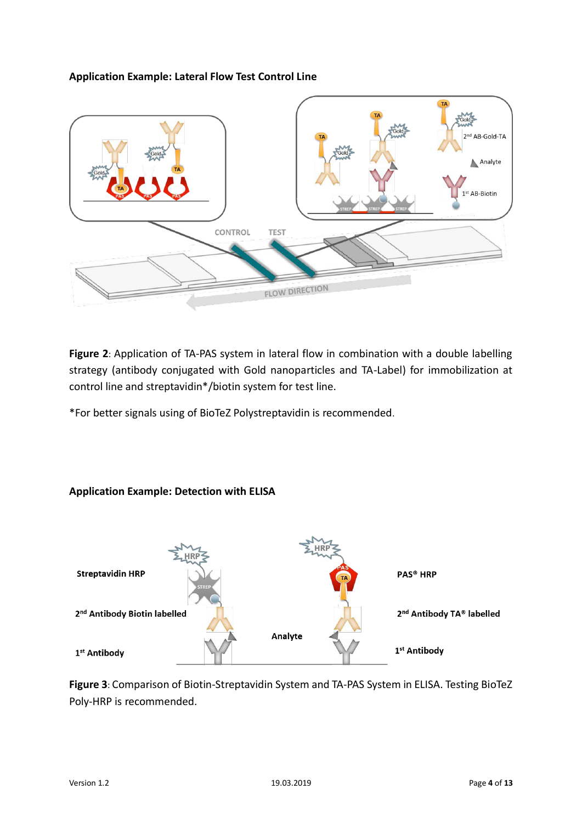#### **Application Example: Lateral Flow Test Control Line**



**Figure 2**: Application of TA-PAS system in lateral flow in combination with a double labelling strategy (antibody conjugated with Gold nanoparticles and TA-Label) for immobilization at control line and streptavidin\*/biotin system for test line.

\*For better signals using of BioTeZ Polystreptavidin is recommended.

#### **Application Example: Detection with ELISA**



**Figure 3**: Comparison of Biotin-Streptavidin System and TA-PAS System in ELISA. Testing BioTeZ Poly-HRP is recommended.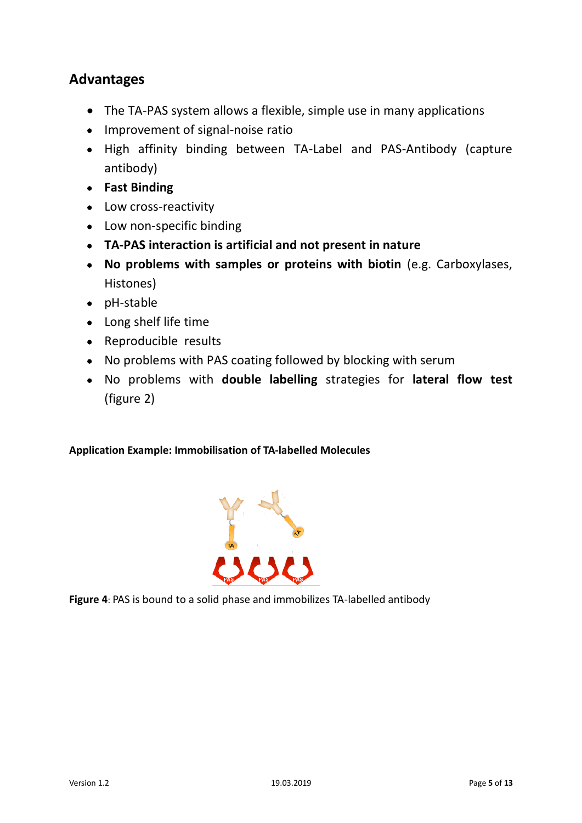# **Advantages**

- The TA-PAS system allows a flexible, simple use in many applications
- Improvement of signal-noise ratio
- High affinity binding between TA-Label and PAS-Antibody (capture antibody)
- **Fast Binding**
- Low cross-reactivity
- Low non-specific binding
- **TA-PAS interaction is artificial and not present in nature**
- **No problems with samples or proteins with biotin** (e.g. Carboxylases, Histones)
- pH-stable
- Long shelf life time
- Reproducible results
- No problems with PAS coating followed by blocking with serum
- No problems with **double labelling** strategies for **lateral flow test** (figure 2)

#### **Application Example: Immobilisation of TA-labelled Molecules**



**Figure 4**: PAS is bound to a solid phase and immobilizes TA-labelled antibody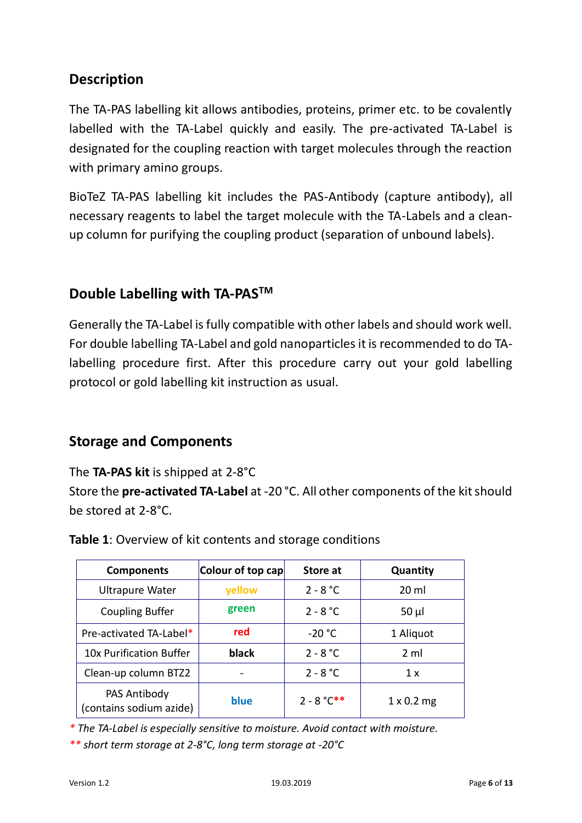# **Description**

The TA-PAS labelling kit allows antibodies, proteins, primer etc. to be covalently labelled with the TA-Label quickly and easily. The pre-activated TA-Label is designated for the coupling reaction with target molecules through the reaction with primary amino groups.

BioTeZ TA-PAS labelling kit includes the PAS-Antibody (capture antibody), all necessary reagents to label the target molecule with the TA-Labels and a cleanup column for purifying the coupling product (separation of unbound labels).

# **Double Labelling with TA-PASTM**

Generally the TA-Label is fully compatible with other labels and should work well. For double labelling TA-Label and gold nanoparticles it is recommended to do TAlabelling procedure first. After this procedure carry out your gold labelling protocol or gold labelling kit instruction as usual.

# **Storage and Components**

The **TA-PAS kit** is shipped at 2-8°C

Store the **pre-activated TA-Label** at -20 °C. All other components of the kit should be stored at 2-8°C.

| <b>Components</b>                       | Colour of top cap | Store at      | Quantity          |
|-----------------------------------------|-------------------|---------------|-------------------|
| <b>Ultrapure Water</b>                  | yellow            | $2 - 8 °C$    | $20 \mathrm{ml}$  |
| <b>Coupling Buffer</b>                  | green             | $2 - 8 °C$    | $50 \mu$          |
| Pre-activated TA-Label*                 | red               | $-20 °C$      | 1 Aliquot         |
| 10x Purification Buffer                 | black             | $2 - 8 °C$    | 2 <sub>m</sub>    |
| Clean-up column BTZ2                    |                   | $2 - 8 °C$    | 1 x               |
| PAS Antibody<br>(contains sodium azide) | blue              | $2 - 8 °C$ ** | $1 \times 0.2$ mg |

**Table 1**: Overview of kit contents and storage conditions

*\* The TA-Label is especially sensitive to moisture. Avoid contact with moisture.*

*\*\* short term storage at 2-8°C, long term storage at -20°C*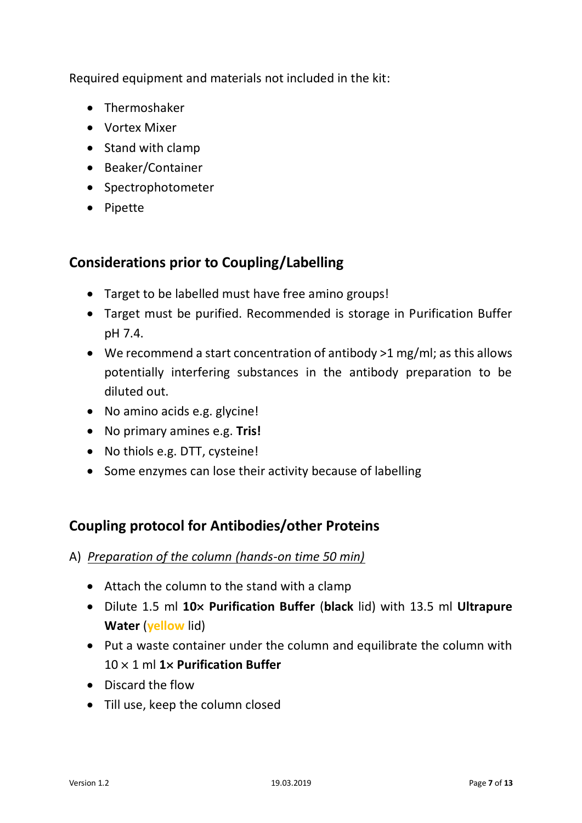Required equipment and materials not included in the kit:

- Thermoshaker
- Vortex Mixer
- Stand with clamp
- Beaker/Container
- Spectrophotometer
- Pipette

# **Considerations prior to Coupling/Labelling**

- Target to be labelled must have free amino groups!
- Target must be purified. Recommended is storage in Purification Buffer pH 7.4.
- We recommend a start concentration of antibody >1 mg/ml; as this allows potentially interfering substances in the antibody preparation to be diluted out.
- No amino acids e.g. glycine!
- No primary amines e.g. **Tris!**
- No thiols e.g. DTT, cysteine!
- Some enzymes can lose their activity because of labelling

# **Coupling protocol for Antibodies/other Proteins**

- A) *Preparation of the column (hands-on time 50 min)*
	- Attach the column to the stand with a clamp
	- Dilute 1.5 ml **10× Purification Buffer** (**black** lid) with 13.5 ml **Ultrapure Water** (**yellow** lid)
	- Put a waste container under the column and equilibrate the column with 10 × 1 ml **1× Purification Buffer**
	- Discard the flow
	- Till use, keep the column closed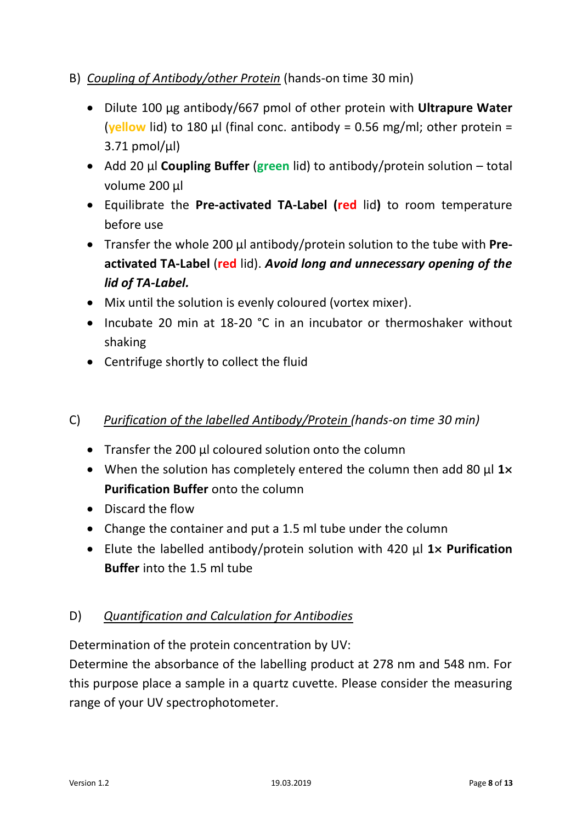#### B) *Coupling of Antibody/other Protein* (hands-on time 30 min)

- Dilute 100 µg antibody/667 pmol of other protein with **Ultrapure Water** (**yellow** lid) to 180 µl (final conc. antibody = 0.56 mg/ml; other protein =  $3.71$  pmol/ $\mu$ l)
- Add 20 µl **Coupling Buffer** (**green** lid) to antibody/protein solution total volume 200 µl
- Equilibrate the **Pre-activated TA-Label (red** lid**)** to room temperature before use
- Transfer the whole 200 µl antibody/protein solution to the tube with **Preactivated TA-Label** (**red** lid). *Avoid long and unnecessary opening of the lid of TA-Label.*
- Mix until the solution is evenly coloured (vortex mixer).
- Incubate 20 min at 18-20 °C in an incubator or thermoshaker without shaking
- Centrifuge shortly to collect the fluid

#### C) *Purification of the labelled Antibody/Protein (hands-on time 30 min)*

- Transfer the 200 µl coloured solution onto the column
- When the solution has completely entered the column then add 80 µl **1× Purification Buffer** onto the column
- Discard the flow
- Change the container and put a 1.5 ml tube under the column
- Elute the labelled antibody/protein solution with 420 µl **1× Purification Buffer** into the 1.5 ml tube

#### D) *Quantification and Calculation for Antibodies*

Determination of the protein concentration by UV:

Determine the absorbance of the labelling product at 278 nm and 548 nm. For this purpose place a sample in a quartz cuvette. Please consider the measuring range of your UV spectrophotometer.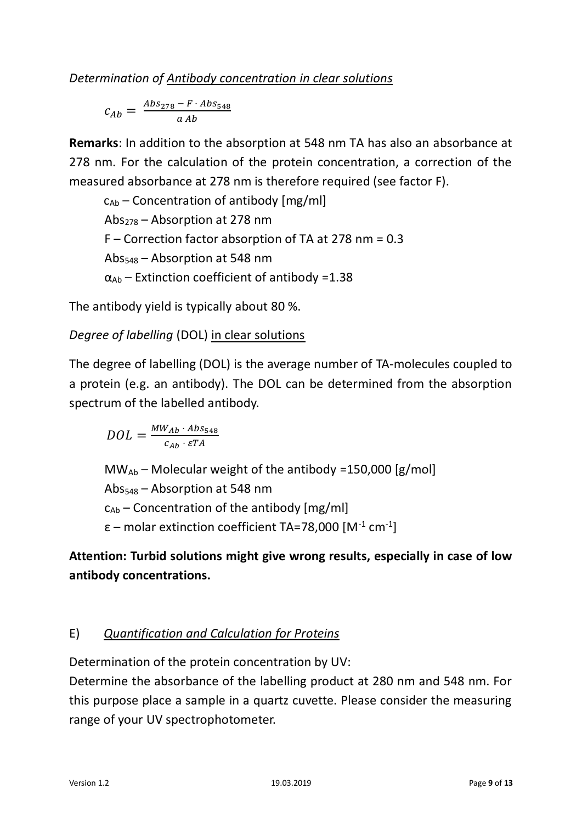*Determination of Antibody concentration in clear solutions*

$$
c_{Ab} = \frac{Abs_{278} - F \cdot Abs_{548}}{a\,Ab}
$$

**Remarks**: In addition to the absorption at 548 nm TA has also an absorbance at 278 nm. For the calculation of the protein concentration, a correction of the measured absorbance at 278 nm is therefore required (see factor F).

```
c_{Ab} – Concentration of antibody [mg/ml]
Abs_{278} – Absorption at 278 nm
F – Correction factor absorption of TA at 278 nm = 0.3 
Abs<sub>548</sub> - Absorption at 548 nm\alpha_{\text{Ab}} – Extinction coefficient of antibody =1.38
```
The antibody yield is typically about 80 %.

# *Degree of labelling* (DOL) in clear solutions

The degree of labelling (DOL) is the average number of TA-molecules coupled to a protein (e.g. an antibody). The DOL can be determined from the absorption spectrum of the labelled antibody.

 $DOL = \frac{MW_{Ab} \cdot Abs_{548}}{c_{Ab} \cdot \varepsilon TA}$ 

 $MW_{Ab}$  – Molecular weight of the antibody =150,000 [g/mol] Abs<sup>548</sup> – Absorption at 548 nm  $c_{Ab}$  – Concentration of the antibody [mg/ml] ε – molar extinction coefficient TA=78,000 [M-1 cm-1]

# **Attention: Turbid solutions might give wrong results, especially in case of low antibody concentrations.**

# E) *Quantification and Calculation for Proteins*

Determination of the protein concentration by UV:

Determine the absorbance of the labelling product at 280 nm and 548 nm. For this purpose place a sample in a quartz cuvette. Please consider the measuring range of your UV spectrophotometer.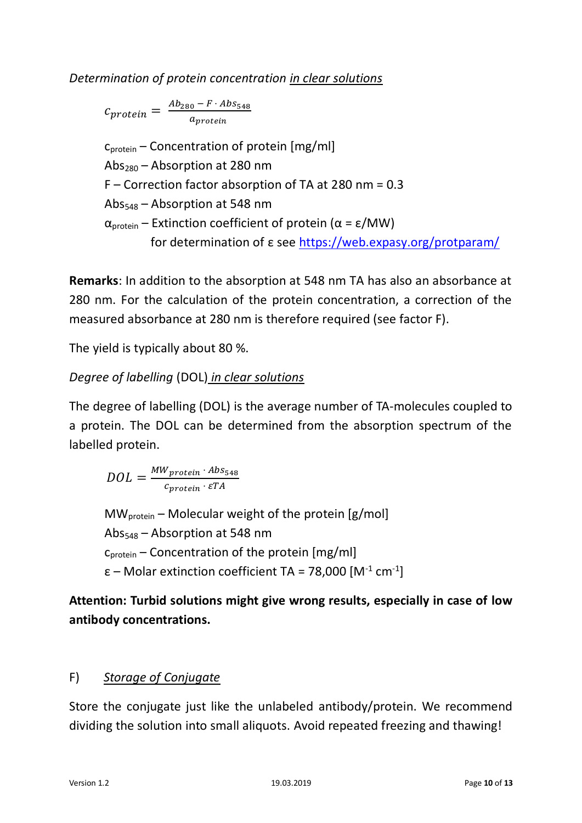*Determination of protein concentration in clear solutions*

$$
c_{protein} = \frac{Ab_{280} - F \cdot Abs_{548}}{a_{protein}}
$$

 $c<sub>protein</sub>$  – Concentration of protein [mg/ml] Abs<sub>280</sub> – Absorption at 280 nm F – Correction factor absorption of TA at 280 nm = 0.3  $Abs<sub>548</sub> - Absorption at 548 nm$  $α<sub>protein</sub>$  – Extinction coefficient of protein ( $α$  = ε/MW) for determination of ε see<https://web.expasy.org/protparam/>

**Remarks**: In addition to the absorption at 548 nm TA has also an absorbance at 280 nm. For the calculation of the protein concentration, a correction of the measured absorbance at 280 nm is therefore required (see factor F).

The yield is typically about 80 %.

# *Degree of labelling* (DOL) *in clear solutions*

The degree of labelling (DOL) is the average number of TA-molecules coupled to a protein. The DOL can be determined from the absorption spectrum of the labelled protein.

$$
DOL = \frac{MW_{protein} \cdot Abs_{548}}{c_{protein} \cdot \varepsilon TA}
$$

 $MW_{protein}$  – Molecular weight of the protein [g/mol] Abs<sup>548</sup> – Absorption at 548 nm  $c_{\text{protein}}$  – Concentration of the protein [mg/ml] ε – Molar extinction coefficient TA = 78,000 [M-1 cm-1]

**Attention: Turbid solutions might give wrong results, especially in case of low antibody concentrations.**

#### F) *Storage of Conjugate*

Store the conjugate just like the unlabeled antibody/protein. We recommend dividing the solution into small aliquots. Avoid repeated freezing and thawing!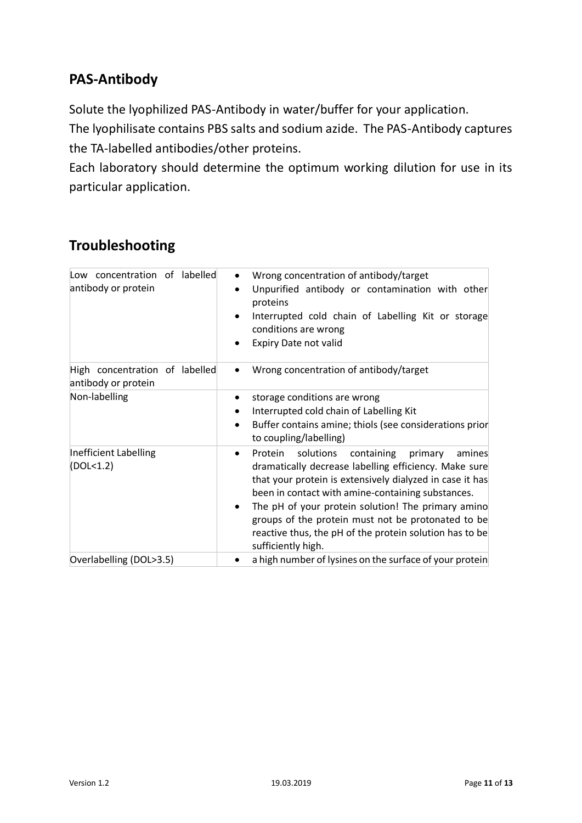# **PAS-Antibody**

Solute the lyophilized PAS-Antibody in water/buffer for your application.

The lyophilisate contains PBS salts and sodium azide. The PAS-Antibody captures the TA-labelled antibodies/other proteins.

Each laboratory should determine the optimum working dilution for use in its particular application.

# **Troubleshooting**

| Low concentration of labelled<br>antibody or protein  | Wrong concentration of antibody/target<br>Unpurified antibody or contamination with other<br>$\bullet$<br>proteins<br>Interrupted cold chain of Labelling Kit or storage<br>conditions are wrong<br>Expiry Date not valid                                                                                                                                                                                                                   |
|-------------------------------------------------------|---------------------------------------------------------------------------------------------------------------------------------------------------------------------------------------------------------------------------------------------------------------------------------------------------------------------------------------------------------------------------------------------------------------------------------------------|
| High concentration of labelled<br>antibody or protein | Wrong concentration of antibody/target<br>$\bullet$                                                                                                                                                                                                                                                                                                                                                                                         |
| Non-labelling                                         | storage conditions are wrong<br>Interrupted cold chain of Labelling Kit<br>Buffer contains amine; thiols (see considerations prior<br>$\bullet$<br>to coupling/labelling)                                                                                                                                                                                                                                                                   |
| Inefficient Labelling<br>(DOL <sub>1.2</sub> )        | Protein<br>solutions<br>containing<br>primary<br>amines<br>$\bullet$<br>dramatically decrease labelling efficiency. Make sure<br>that your protein is extensively dialyzed in case it has<br>been in contact with amine-containing substances.<br>The pH of your protein solution! The primary amino<br>groups of the protein must not be protonated to be<br>reactive thus, the pH of the protein solution has to be<br>sufficiently high. |
| Overlabelling (DOL>3.5)                               | a high number of lysines on the surface of your protein                                                                                                                                                                                                                                                                                                                                                                                     |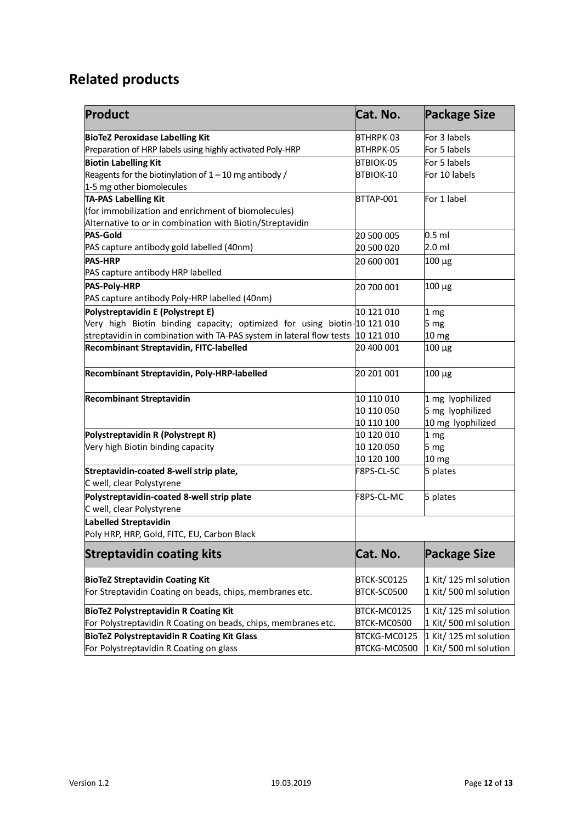# **Related products**

| <b>Product</b>                                                                  | Cat. No.     | <b>Package Size</b>    |
|---------------------------------------------------------------------------------|--------------|------------------------|
| <b>BioTeZ Peroxidase Labelling Kit</b>                                          | BTHRPK-03    | For 3 labels           |
| Preparation of HRP labels using highly activated Poly-HRP                       | BTHRPK-05    | For 5 labels           |
| <b>Biotin Labelling Kit</b>                                                     | BTBIOK-05    | For 5 labels           |
| Reagents for the biotinylation of $1 - 10$ mg antibody /                        | BTBIOK-10    | For 10 labels          |
| 1-5 mg other biomolecules                                                       |              |                        |
| TA-PAS Labelling Kit                                                            | BTTAP-001    | For 1 label            |
| (for immobilization and enrichment of biomolecules)                             |              |                        |
| Alternative to or in combination with Biotin/Streptavidin                       |              |                        |
| <b>PAS-Gold</b>                                                                 | 20 500 005   | $0.5$ ml               |
| PAS capture antibody gold labelled (40nm)                                       | 20 500 020   | 2.0 ml                 |
| <b>PAS-HRP</b>                                                                  | 20 600 001   | $100 \mu g$            |
| PAS capture antibody HRP labelled                                               |              |                        |
| <b>PAS-Poly-HRP</b>                                                             | 20 700 001   | $100 \mu g$            |
| PAS capture antibody Poly-HRP labelled (40nm)                                   |              |                        |
| Polystreptavidin E (Polystrept E)                                               | 10 121 010   | 1 <sub>mg</sub>        |
| Very high Biotin binding capacity; optimized for using biotin-10 121 010        |              | 5 mg                   |
| streptavidin in combination with TA-PAS system in lateral flow tests 10 121 010 |              | 10 mg                  |
| Recombinant Streptavidin, FITC-labelled                                         | 20 400 001   | $100 \mu g$            |
| Recombinant Streptavidin, Poly-HRP-labelled                                     | 20 201 001   | $100 \mu g$            |
| <b>Recombinant Streptavidin</b>                                                 | 10 110 010   | 1 mg lyophilized       |
|                                                                                 | 10 110 050   | 5 mg lyophilized       |
|                                                                                 | 10 110 100   | 10 mg lyophilized      |
| Polystreptavidin R (Polystrept R)                                               | 10 120 010   | 1 <sub>mg</sub>        |
| Very high Biotin binding capacity                                               | 10 120 050   | 5 mg                   |
|                                                                                 | 10 120 100   | 10 mg                  |
| Streptavidin-coated 8-well strip plate,<br>C well, clear Polystyrene            | F8PS-CL-SC   | 5 plates               |
|                                                                                 | F8PS-CL-MC   |                        |
| Polystreptavidin-coated 8-well strip plate<br>C well, clear Polystyrene         |              | 5 plates               |
| <b>Labelled Streptavidin</b>                                                    |              |                        |
| Poly HRP, HRP, Gold, FITC, EU, Carbon Black                                     |              |                        |
| <b>Streptavidin coating kits</b>                                                | Cat. No.     | <b>Package Size</b>    |
| <b>BioTeZ Streptavidin Coating Kit</b>                                          | BTCK-SC0125  | 1 Kit/ 125 ml solution |
| For Streptavidin Coating on beads, chips, membranes etc.                        | BTCK-SC0500  | 1 Kit/ 500 ml solution |
| <b>BioTeZ Polystreptavidin R Coating Kit</b>                                    | BTCK-MC0125  | 1 Kit/ 125 ml solution |
| For Polystreptavidin R Coating on beads, chips, membranes etc.                  | BTCK-MC0500  | 1 Kit/ 500 ml solution |
| <b>BioTeZ Polystreptavidin R Coating Kit Glass</b>                              | BTCKG-MC0125 | 1 Kit/ 125 ml solution |
| For Polystreptavidin R Coating on glass                                         | BTCKG-MC0500 | 1 Kit/ 500 ml solution |